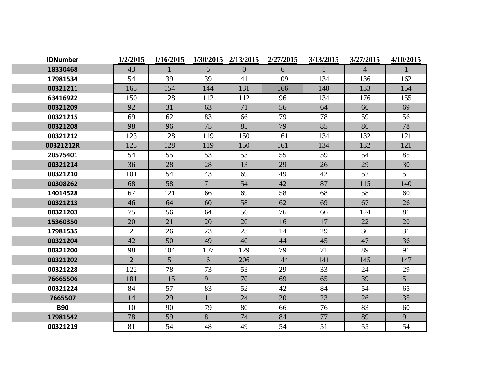| <b>IDNumber</b> | 1/2/2015       | 1/16/2015       | 1/30/2015 | 2/13/2015      | 2/27/2015 | 3/13/2015    | 3/27/2015      | 4/10/2015 |
|-----------------|----------------|-----------------|-----------|----------------|-----------|--------------|----------------|-----------|
| 18330468        | 43             | $\mathbf{1}$    | 6         | $\overline{0}$ | 6         | $\mathbf{1}$ | $\overline{4}$ |           |
| 17981534        | 54             | 39              | 39        | 41             | 109       | 134          | 136            | 162       |
| 00321211        | 165            | 154             | 144       | 131            | 166       | 148          | 133            | 154       |
| 63416922        | 150            | 128             | 112       | 112            | 96        | 134          | 176            | 155       |
| 00321209        | 92             | 31              | 63        | 71             | 56        | 64           | 66             | 69        |
| 00321215        | 69             | 62              | 83        | 66             | 79        | 78           | 59             | 56        |
| 00321208        | 98             | 96              | 75        | 85             | 79        | 85           | 86             | 78        |
| 00321212        | 123            | 128             | 119       | 150            | 161       | 134          | 132            | 121       |
| 00321212R       | 123            | 128             | 119       | 150            | 161       | 134          | 132            | 121       |
| 20575401        | 54             | 55              | 53        | 53             | 55        | 59           | 54             | 85        |
| 00321214        | 36             | 28              | 28        | 13             | 29        | 26           | 29             | 30        |
| 00321210        | 101            | 54              | 43        | 69             | 49        | 42           | 52             | 51        |
| 00308262        | 68             | 58              | 71        | 54             | 42        | 87           | 115            | 140       |
| 14014528        | 67             | 121             | 66        | 69             | 58        | 68           | 58             | 60        |
| 00321213        | 46             | 64              | 60        | 58             | 62        | 69           | 67             | 26        |
| 00321203        | 75             | 56              | 64        | 56             | 76        | 66           | 124            | 81        |
| 15360350        | 20             | 21              | 20        | 20             | 16        | 17           | 22             | 20        |
| 17981535        | $\overline{2}$ | 26              | 23        | 23             | 14        | 29           | 30             | 31        |
| 00321204        | 42             | 50              | 49        | 40             | 44        | 45           | 47             | 36        |
| 00321200        | 98             | 104             | 107       | 129            | 79        | 71           | 89             | 91        |
| 00321202        | $\overline{2}$ | $5\overline{)}$ | 6         | 206            | 144       | 141          | 145            | 147       |
| 00321228        | 122            | 78              | 73        | 53             | 29        | 33           | 24             | 29        |
| 76665506        | 181            | 115             | 91        | 70             | 69        | 65           | 39             | 51        |
| 00321224        | 84             | 57              | 83        | 52             | 42        | 84           | 54             | 65        |
| 7665507         | 14             | 29              | 11        | 24             | 20        | 23           | 26             | 35        |
| <b>B90</b>      | 10             | 90              | 79        | 80             | 66        | 76           | 83             | 60        |
| 17981542        | 78             | 59              | 81        | 74             | 84        | 77           | 89             | 91        |
| 00321219        | 81             | 54              | 48        | 49             | 54        | 51           | 55             | 54        |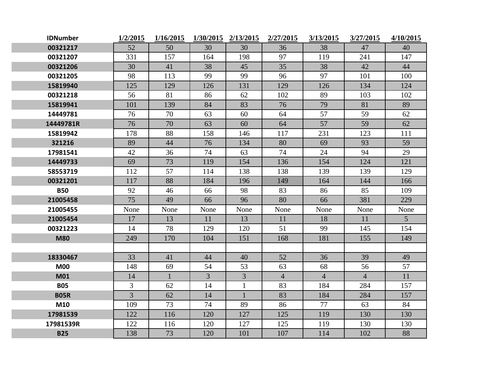| <b>IDNumber</b> | 1/2/2015       | 1/16/2015    | 1/30/2015 2/13/2015 |                | 2/27/2015      | 3/13/2015      | 3/27/2015      | 4/10/2015      |
|-----------------|----------------|--------------|---------------------|----------------|----------------|----------------|----------------|----------------|
| 00321217        | 52             | 50           | 30                  | 30             | 36             | 38             | 47             | 40             |
| 00321207        | 331            | 157          | 164                 | 198            | 97             | 119            | 241            | 147            |
| 00321206        | 30             | 41           | 38                  | 45             | 35             | 38             | 42             | 44             |
| 00321205        | 98             | 113          | 99                  | 99             | 96             | 97             | 101            | 100            |
| 15819940        | 125            | 129          | 126                 | 131            | 129            | 126            | 134            | 124            |
| 00321218        | 56             | 81           | 86                  | 62             | 102            | 89             | 103            | 102            |
| 15819941        | 101            | 139          | 84                  | 83             | 76             | 79             | 81             | 89             |
| 14449781        | 76             | 70           | 63                  | 60             | 64             | 57             | 59             | 62             |
| 14449781R       | 76             | 70           | 63                  | 60             | 64             | 57             | 59             | 62             |
| 15819942        | 178            | 88           | 158                 | 146            | 117            | 231            | 123            | 111            |
| 321216          | 89             | 44           | 76                  | 134            | 80             | 69             | 93             | 59             |
| 17981541        | 42             | 36           | 74                  | 63             | 74             | 24             | 94             | 29             |
| 14449733        | 69             | 73           | 119                 | 154            | 136            | 154            | 124            | 121            |
| 58553719        | 112            | 57           | 114                 | 138            | 138            | 139            | 139            | 129            |
| 00321201        | 117            | 88           | 184                 | 196            | 149            | 164            | 144            | 166            |
| <b>B50</b>      | 92             | 46           | 66                  | 98             | 83             | 86             | 85             | 109            |
| 21005458        | 75             | 49           | 66                  | 96             | 80             | 66             | 381            | 229            |
| 21005455        | None           | None         | None                | None           | None           | None           | None           | None           |
| 21005454        | 17             | 13           | 11                  | 13             | 11             | 18             | 11             | 5 <sup>5</sup> |
| 00321223        | 14             | 78           | 129                 | 120            | 51             | 99             | 145            | 154            |
| <b>M80</b>      | 249            | 170          | 104                 | 151            | 168            | 181            | 155            | 149            |
|                 |                |              |                     |                |                |                |                |                |
| 18330467        | 33             | 41           | 44                  | 40             | 52             | 36             | 39             | 49             |
| <b>M00</b>      | 148            | 69           | 54                  | 53             | 63             | 68             | 56             | 57             |
| <b>M01</b>      | 14             | $\mathbf{1}$ | $\overline{3}$      | $\overline{3}$ | $\overline{4}$ | $\overline{4}$ | $\overline{4}$ | 11             |
| <b>B05</b>      | 3              | 62           | 14                  | $\mathbf{1}$   | 83             | 184            | 284            | 157            |
| <b>B05R</b>     | $\overline{3}$ | 62           | 14                  | $\mathbf{1}$   | 83             | 184            | 284            | 157            |
| M10             | 109            | 73           | 74                  | 89             | 86             | 77             | 63             | 84             |
| 17981539        | 122            | 116          | 120                 | 127            | 125            | 119            | 130            | 130            |
| 17981539R       | 122            | 116          | 120                 | 127            | 125            | 119            | 130            | 130            |
| <b>B25</b>      | 138            | 73           | 120                 | 101            | 107            | 114            | 102            | 88             |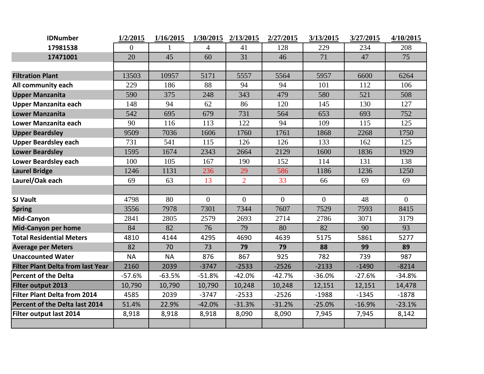| <b>IDNumber</b>                          | 1/2/2015  | 1/16/2015 | 1/30/2015      | 2/13/2015      | 2/27/2015      | 3/13/2015    | 3/27/2015 | 4/10/2015      |
|------------------------------------------|-----------|-----------|----------------|----------------|----------------|--------------|-----------|----------------|
| 17981538                                 | 0         |           | 4              | 41             | 128            | 229          | 234       | 208            |
| 17471001                                 | 20        | 45        | 60             | 31             | 46             | 71           | 47        | 75             |
|                                          |           |           |                |                |                |              |           |                |
| <b>Filtration Plant</b>                  | 13503     | 10957     | 5171           | 5557           | 5564           | 5957         | 6600      | 6264           |
| All community each                       | 229       | 186       | 88             | 94             | 94             | 101          | 112       | 106            |
| <b>Upper Manzanita</b>                   | 590       | 375       | 248            | 343            | 479            | 580          | 521       | 508            |
| <b>Upper Manzanita each</b>              | 148       | 94        | 62             | 86             | 120            | 145          | 130       | 127            |
| <b>Lower Manzanita</b>                   | 542       | 695       | 679            | 731            | 564            | 653          | 693       | 752            |
| Lower Manzanita each                     | 90        | 116       | 113            | 122            | 94             | 109          | 115       | 125            |
| <b>Upper Beardsley</b>                   | 9509      | 7036      | 1606           | 1760           | 1761           | 1868         | 2268      | 1750           |
| <b>Upper Beardsley each</b>              | 731       | 541       | 115            | 126            | 126            | 133          | 162       | 125            |
| <b>Lower Beardsley</b>                   | 1595      | 1674      | 2343           | 2664           | 2129           | 1600         | 1836      | 1929           |
| <b>Lower Beardsley each</b>              | 100       | 105       | 167            | 190            | 152            | 114          | 131       | 138            |
| <b>Laurel Bridge</b>                     | 1246      | 1131      | 236            | 29             | 586            | 1186         | 1236      | 1250           |
| Laurel/Oak each                          | 69        | 63        | 13             | $\overline{2}$ | 33             | 66           | 69        | 69             |
|                                          |           |           |                |                |                |              |           |                |
| <b>SJ Vault</b>                          | 4798      | 80        | $\overline{0}$ | $\overline{0}$ | $\overline{0}$ | $\mathbf{0}$ | 48        | $\overline{0}$ |
| <b>Spring</b>                            | 3556      | 7978      | 7301           | 7344           | 7607           | 7529         | 7593      | 8415           |
| Mid-Canyon                               | 2841      | 2805      | 2579           | 2693           | 2714           | 2786         | 3071      | 3179           |
| <b>Mid-Canyon per home</b>               | 84        | 82        | 76             | 79             | 80             | 82           | 90        | 93             |
| <b>Total Residential Meters</b>          | 4810      | 4144      | 4295           | 4690           | 4639           | 5175         | 5861      | 5277           |
| <b>Average per Meters</b>                | 82        | 70        | 73             | 79             | 79             | 88           | 99        | 89             |
| <b>Unaccounted Water</b>                 | <b>NA</b> | <b>NA</b> | 876            | 867            | 925            | 782          | 739       | 987            |
| <b>Filter Plant Delta from last Year</b> | 2160      | 2039      | $-3747$        | $-2533$        | $-2526$        | $-2133$      | $-1490$   | $-8214$        |
| <b>Percent of the Delta</b>              | $-57.6%$  | $-63.5%$  | $-51.8%$       | $-42.0%$       | $-42.7%$       | $-36.0%$     | $-27.6%$  | $-34.8%$       |
| Filter output 2013                       | 10,790    | 10,790    | 10,790         | 10,248         | 10,248         | 12,151       | 12,151    | 14,478         |
| <b>Filter Plant Delta from 2014</b>      | 4585      | 2039      | $-3747$        | $-2533$        | $-2526$        | $-1988$      | $-1345$   | $-1878$        |
| Percent of the Delta last 2014           | 51.4%     | 22.9%     | $-42.0%$       | $-31.3%$       | $-31.2%$       | $-25.0%$     | $-16.9%$  | $-23.1%$       |
| Filter output last 2014                  | 8,918     | 8,918     | 8,918          | 8,090          | 8,090          | 7,945        | 7,945     | 8,142          |
|                                          |           |           |                |                |                |              |           |                |